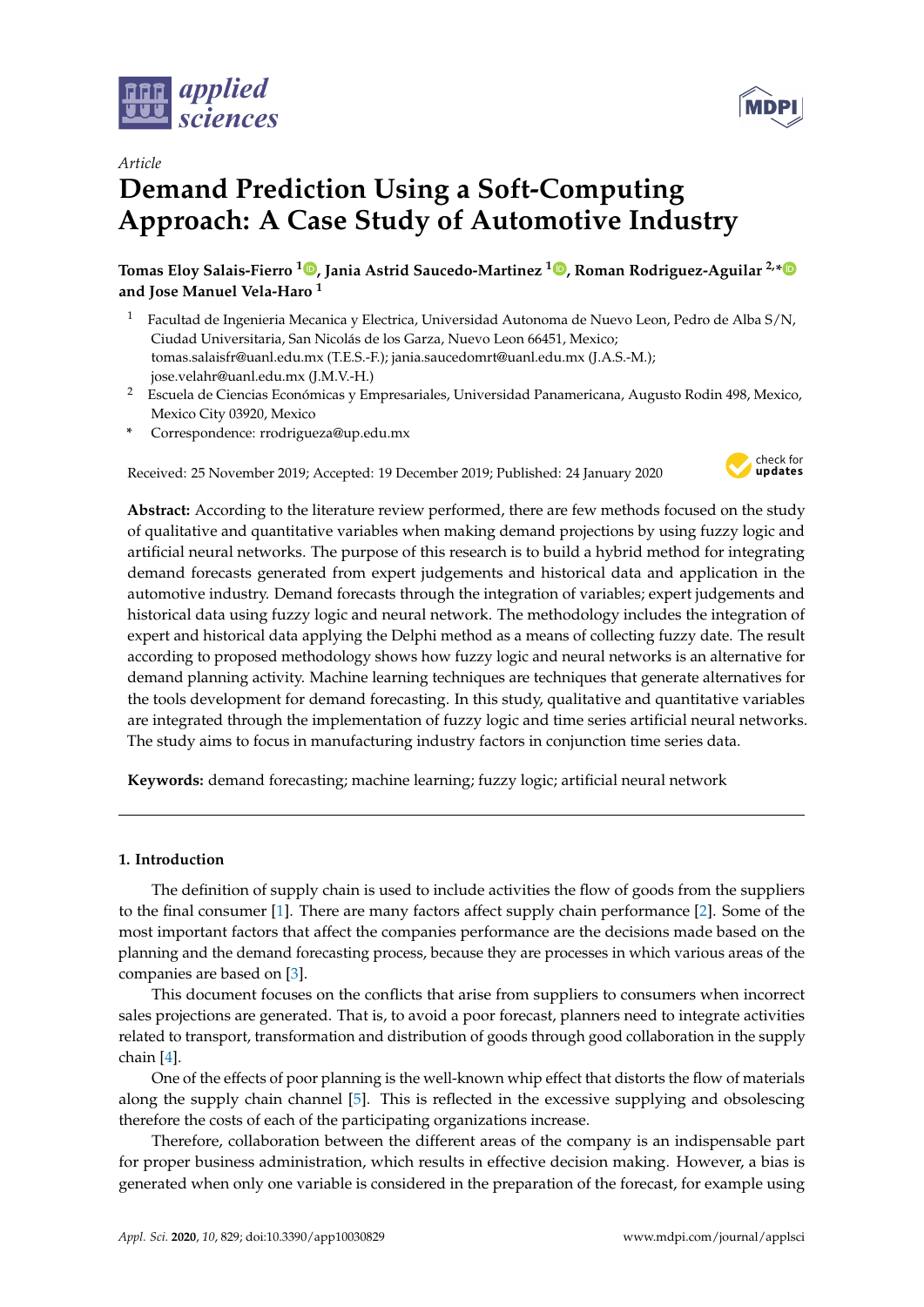



# **Demand Prediction Using a Soft-Computing Approach: A Case Study of Automotive Industry**

**Tomas Eloy Salais-Fierro [1](https://orcid.org/0000-0002-5917-887X) , Jania Astrid Saucedo-Martinez <sup>1</sup> [,](https://orcid.org/0000-0002-4130-9552) Roman Rodriguez-Aguilar 2,[\\*](https://orcid.org/0000-0002-6496-4453) and Jose Manuel Vela-Haro <sup>1</sup>**

- <sup>1</sup> Facultad de Ingenieria Mecanica y Electrica, Universidad Autonoma de Nuevo Leon, Pedro de Alba S/N, Ciudad Universitaria, San Nicolás de los Garza, Nuevo Leon 66451, Mexico; tomas.salaisfr@uanl.edu.mx (T.E.S.-F.); jania.saucedomrt@uanl.edu.mx (J.A.S.-M.); jose.velahr@uanl.edu.mx (J.M.V.-H.)
- <sup>2</sup> Escuela de Ciencias Económicas y Empresariales, Universidad Panamericana, Augusto Rodin 498, Mexico, Mexico City 03920, Mexico
- **\*** Correspondence: rrodrigueza@up.edu.mx

Received: 25 November 2019; Accepted: 19 December 2019; Published: 24 January 2020



**Abstract:** According to the literature review performed, there are few methods focused on the study of qualitative and quantitative variables when making demand projections by using fuzzy logic and artificial neural networks. The purpose of this research is to build a hybrid method for integrating demand forecasts generated from expert judgements and historical data and application in the automotive industry. Demand forecasts through the integration of variables; expert judgements and historical data using fuzzy logic and neural network. The methodology includes the integration of expert and historical data applying the Delphi method as a means of collecting fuzzy date. The result according to proposed methodology shows how fuzzy logic and neural networks is an alternative for demand planning activity. Machine learning techniques are techniques that generate alternatives for the tools development for demand forecasting. In this study, qualitative and quantitative variables are integrated through the implementation of fuzzy logic and time series artificial neural networks. The study aims to focus in manufacturing industry factors in conjunction time series data.

**Keywords:** demand forecasting; machine learning; fuzzy logic; artificial neural network

# **1. Introduction**

The definition of supply chain is used to include activities the flow of goods from the suppliers to the final consumer [\[1\]](#page-13-0). There are many factors affect supply chain performance [\[2\]](#page-13-1). Some of the most important factors that affect the companies performance are the decisions made based on the planning and the demand forecasting process, because they are processes in which various areas of the companies are based on [\[3\]](#page-13-2).

This document focuses on the conflicts that arise from suppliers to consumers when incorrect sales projections are generated. That is, to avoid a poor forecast, planners need to integrate activities related to transport, transformation and distribution of goods through good collaboration in the supply chain [\[4\]](#page-13-3).

One of the effects of poor planning is the well-known whip effect that distorts the flow of materials along the supply chain channel [\[5\]](#page-13-4). This is reflected in the excessive supplying and obsolescing therefore the costs of each of the participating organizations increase.

Therefore, collaboration between the different areas of the company is an indispensable part for proper business administration, which results in effective decision making. However, a bias is generated when only one variable is considered in the preparation of the forecast, for example using

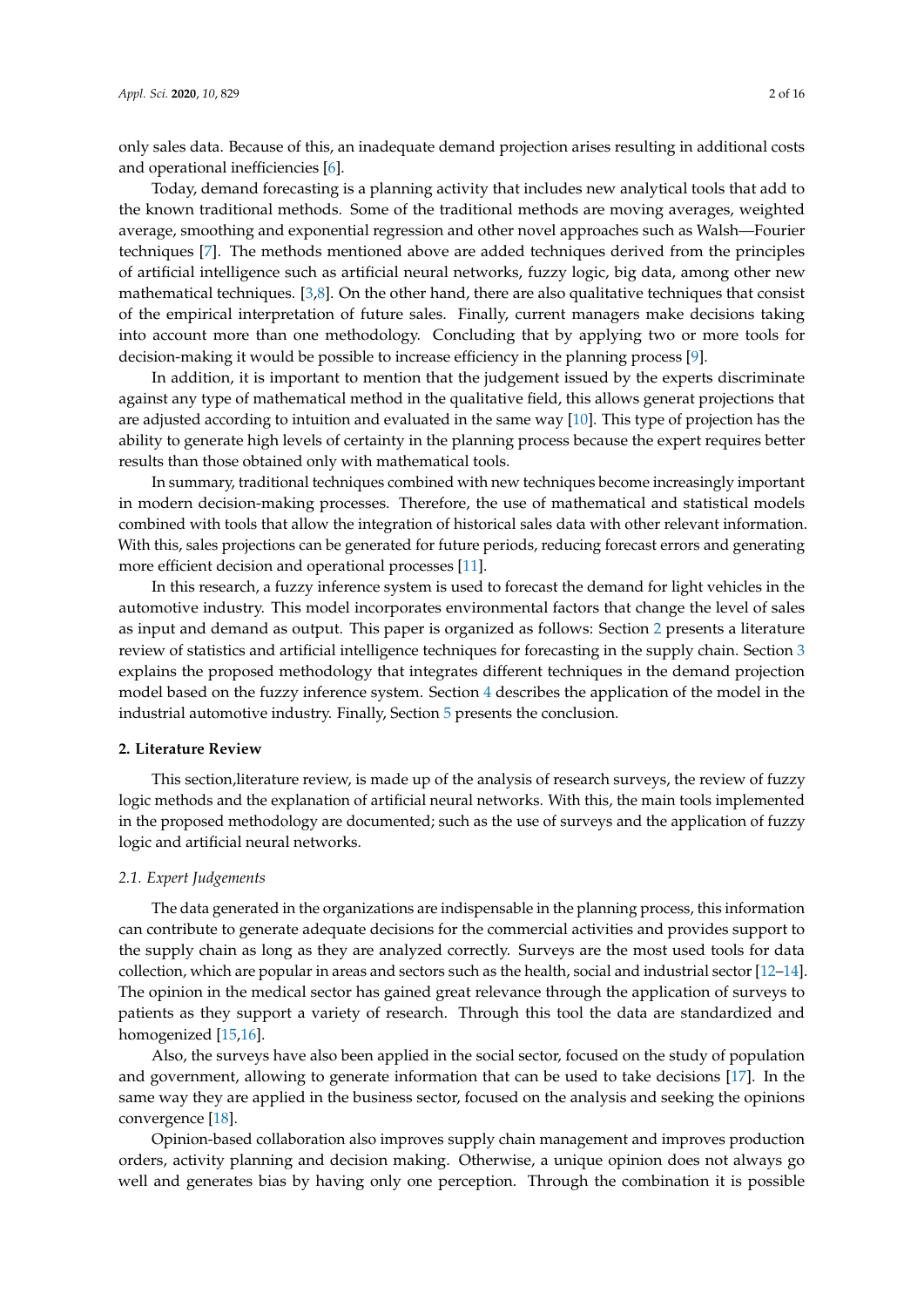only sales data. Because of this, an inadequate demand projection arises resulting in additional costs and operational inefficiencies [\[6\]](#page-13-5).

Today, demand forecasting is a planning activity that includes new analytical tools that add to the known traditional methods. Some of the traditional methods are moving averages, weighted average, smoothing and exponential regression and other novel approaches such as Walsh—Fourier techniques [\[7\]](#page-13-6). The methods mentioned above are added techniques derived from the principles of artificial intelligence such as artificial neural networks, fuzzy logic, big data, among other new mathematical techniques. [\[3](#page-13-2)[,8\]](#page-13-7). On the other hand, there are also qualitative techniques that consist of the empirical interpretation of future sales. Finally, current managers make decisions taking into account more than one methodology. Concluding that by applying two or more tools for decision-making it would be possible to increase efficiency in the planning process [\[9\]](#page-13-8).

In addition, it is important to mention that the judgement issued by the experts discriminate against any type of mathematical method in the qualitative field, this allows generat projections that are adjusted according to intuition and evaluated in the same way [\[10\]](#page-13-9). This type of projection has the ability to generate high levels of certainty in the planning process because the expert requires better results than those obtained only with mathematical tools.

In summary, traditional techniques combined with new techniques become increasingly important in modern decision-making processes. Therefore, the use of mathematical and statistical models combined with tools that allow the integration of historical sales data with other relevant information. With this, sales projections can be generated for future periods, reducing forecast errors and generating more efficient decision and operational processes [\[11\]](#page-13-10).

In this research, a fuzzy inference system is used to forecast the demand for light vehicles in the automotive industry. This model incorporates environmental factors that change the level of sales as input and demand as output. This paper is organized as follows: Section [2](#page-1-0) presents a literature review of statistics and artificial intelligence techniques for forecasting in the supply chain. Section [3](#page-3-0) explains the proposed methodology that integrates different techniques in the demand projection model based on the fuzzy inference system. Section [4](#page-7-0) describes the application of the model in the industrial automotive industry. Finally, Section [5](#page-12-0) presents the conclusion.

#### <span id="page-1-0"></span>**2. Literature Review**

This section,literature review, is made up of the analysis of research surveys, the review of fuzzy logic methods and the explanation of artificial neural networks. With this, the main tools implemented in the proposed methodology are documented; such as the use of surveys and the application of fuzzy logic and artificial neural networks.

#### *2.1. Expert Judgements*

The data generated in the organizations are indispensable in the planning process, this information can contribute to generate adequate decisions for the commercial activities and provides support to the supply chain as long as they are analyzed correctly. Surveys are the most used tools for data collection, which are popular in areas and sectors such as the health, social and industrial sector [\[12–](#page-13-11)[14\]](#page-13-12). The opinion in the medical sector has gained great relevance through the application of surveys to patients as they support a variety of research. Through this tool the data are standardized and homogenized [\[15,](#page-13-13)[16\]](#page-13-14).

Also, the surveys have also been applied in the social sector, focused on the study of population and government, allowing to generate information that can be used to take decisions [\[17\]](#page-13-15). In the same way they are applied in the business sector, focused on the analysis and seeking the opinions convergence [\[18\]](#page-13-16).

Opinion-based collaboration also improves supply chain management and improves production orders, activity planning and decision making. Otherwise, a unique opinion does not always go well and generates bias by having only one perception. Through the combination it is possible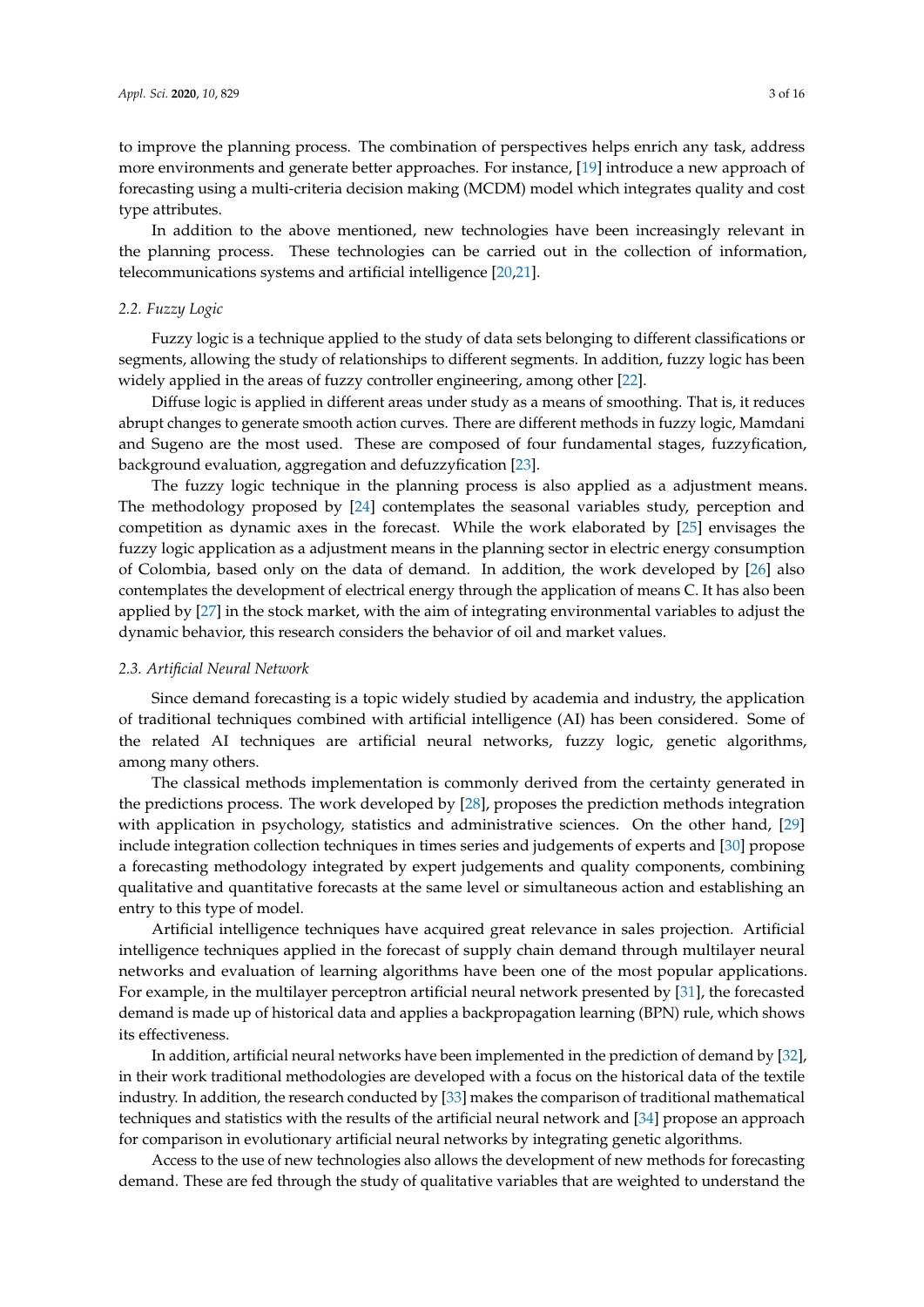to improve the planning process. The combination of perspectives helps enrich any task, address more environments and generate better approaches. For instance, [\[19\]](#page-13-17) introduce a new approach of forecasting using a multi-criteria decision making (MCDM) model which integrates quality and cost type attributes.

In addition to the above mentioned, new technologies have been increasingly relevant in the planning process. These technologies can be carried out in the collection of information, telecommunications systems and artificial intelligence [\[20,](#page-13-18)[21\]](#page-13-19).

#### *2.2. Fuzzy Logic*

Fuzzy logic is a technique applied to the study of data sets belonging to different classifications or segments, allowing the study of relationships to different segments. In addition, fuzzy logic has been widely applied in the areas of fuzzy controller engineering, among other [\[22\]](#page-13-20).

Diffuse logic is applied in different areas under study as a means of smoothing. That is, it reduces abrupt changes to generate smooth action curves. There are different methods in fuzzy logic, Mamdani and Sugeno are the most used. These are composed of four fundamental stages, fuzzyfication, background evaluation, aggregation and defuzzyfication [\[23\]](#page-13-21).

The fuzzy logic technique in the planning process is also applied as a adjustment means. The methodology proposed by [\[24\]](#page-14-0) contemplates the seasonal variables study, perception and competition as dynamic axes in the forecast. While the work elaborated by [\[25\]](#page-14-1) envisages the fuzzy logic application as a adjustment means in the planning sector in electric energy consumption of Colombia, based only on the data of demand. In addition, the work developed by [\[26\]](#page-14-2) also contemplates the development of electrical energy through the application of means C. It has also been applied by [\[27\]](#page-14-3) in the stock market, with the aim of integrating environmental variables to adjust the dynamic behavior, this research considers the behavior of oil and market values.

#### *2.3. Artificial Neural Network*

Since demand forecasting is a topic widely studied by academia and industry, the application of traditional techniques combined with artificial intelligence (AI) has been considered. Some of the related AI techniques are artificial neural networks, fuzzy logic, genetic algorithms, among many others.

The classical methods implementation is commonly derived from the certainty generated in the predictions process. The work developed by [\[28\]](#page-14-4), proposes the prediction methods integration with application in psychology, statistics and administrative sciences. On the other hand, [\[29\]](#page-14-5) include integration collection techniques in times series and judgements of experts and [\[30\]](#page-14-6) propose a forecasting methodology integrated by expert judgements and quality components, combining qualitative and quantitative forecasts at the same level or simultaneous action and establishing an entry to this type of model.

Artificial intelligence techniques have acquired great relevance in sales projection. Artificial intelligence techniques applied in the forecast of supply chain demand through multilayer neural networks and evaluation of learning algorithms have been one of the most popular applications. For example, in the multilayer perceptron artificial neural network presented by [\[31\]](#page-14-7), the forecasted demand is made up of historical data and applies a backpropagation learning (BPN) rule, which shows its effectiveness.

In addition, artificial neural networks have been implemented in the prediction of demand by [\[32\]](#page-14-8), in their work traditional methodologies are developed with a focus on the historical data of the textile industry. In addition, the research conducted by [\[33\]](#page-14-9) makes the comparison of traditional mathematical techniques and statistics with the results of the artificial neural network and [\[34\]](#page-14-10) propose an approach for comparison in evolutionary artificial neural networks by integrating genetic algorithms.

Access to the use of new technologies also allows the development of new methods for forecasting demand. These are fed through the study of qualitative variables that are weighted to understand the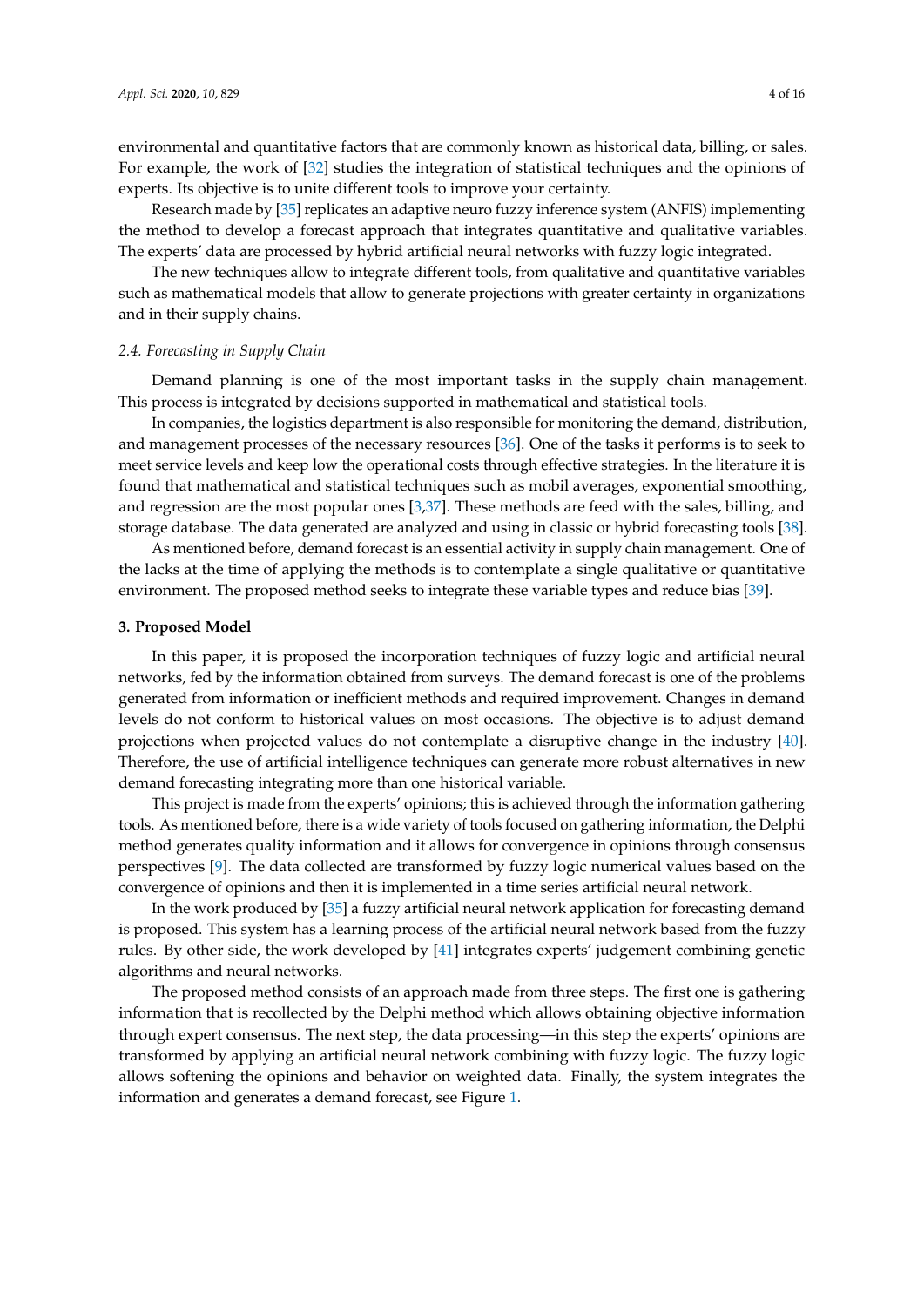environmental and quantitative factors that are commonly known as historical data, billing, or sales. For example, the work of [\[32\]](#page-14-8) studies the integration of statistical techniques and the opinions of experts. Its objective is to unite different tools to improve your certainty.

Research made by [\[35\]](#page-14-11) replicates an adaptive neuro fuzzy inference system (ANFIS) implementing the method to develop a forecast approach that integrates quantitative and qualitative variables. The experts' data are processed by hybrid artificial neural networks with fuzzy logic integrated.

The new techniques allow to integrate different tools, from qualitative and quantitative variables such as mathematical models that allow to generate projections with greater certainty in organizations and in their supply chains.

#### *2.4. Forecasting in Supply Chain*

Demand planning is one of the most important tasks in the supply chain management. This process is integrated by decisions supported in mathematical and statistical tools.

In companies, the logistics department is also responsible for monitoring the demand, distribution, and management processes of the necessary resources [\[36\]](#page-14-12). One of the tasks it performs is to seek to meet service levels and keep low the operational costs through effective strategies. In the literature it is found that mathematical and statistical techniques such as mobil averages, exponential smoothing, and regression are the most popular ones [\[3](#page-13-2)[,37\]](#page-14-13). These methods are feed with the sales, billing, and storage database. The data generated are analyzed and using in classic or hybrid forecasting tools [\[38\]](#page-14-14).

As mentioned before, demand forecast is an essential activity in supply chain management. One of the lacks at the time of applying the methods is to contemplate a single qualitative or quantitative environment. The proposed method seeks to integrate these variable types and reduce bias [\[39\]](#page-14-15).

#### <span id="page-3-0"></span>**3. Proposed Model**

In this paper, it is proposed the incorporation techniques of fuzzy logic and artificial neural networks, fed by the information obtained from surveys. The demand forecast is one of the problems generated from information or inefficient methods and required improvement. Changes in demand levels do not conform to historical values on most occasions. The objective is to adjust demand projections when projected values do not contemplate a disruptive change in the industry [\[40\]](#page-14-16). Therefore, the use of artificial intelligence techniques can generate more robust alternatives in new demand forecasting integrating more than one historical variable.

This project is made from the experts' opinions; this is achieved through the information gathering tools. As mentioned before, there is a wide variety of tools focused on gathering information, the Delphi method generates quality information and it allows for convergence in opinions through consensus perspectives [\[9\]](#page-13-8). The data collected are transformed by fuzzy logic numerical values based on the convergence of opinions and then it is implemented in a time series artificial neural network.

In the work produced by [\[35\]](#page-14-11) a fuzzy artificial neural network application for forecasting demand is proposed. This system has a learning process of the artificial neural network based from the fuzzy rules. By other side, the work developed by [\[41\]](#page-14-17) integrates experts' judgement combining genetic algorithms and neural networks.

The proposed method consists of an approach made from three steps. The first one is gathering information that is recollected by the Delphi method which allows obtaining objective information through expert consensus. The next step, the data processing—in this step the experts' opinions are transformed by applying an artificial neural network combining with fuzzy logic. The fuzzy logic allows softening the opinions and behavior on weighted data. Finally, the system integrates the information and generates a demand forecast, see Figure [1.](#page-4-0)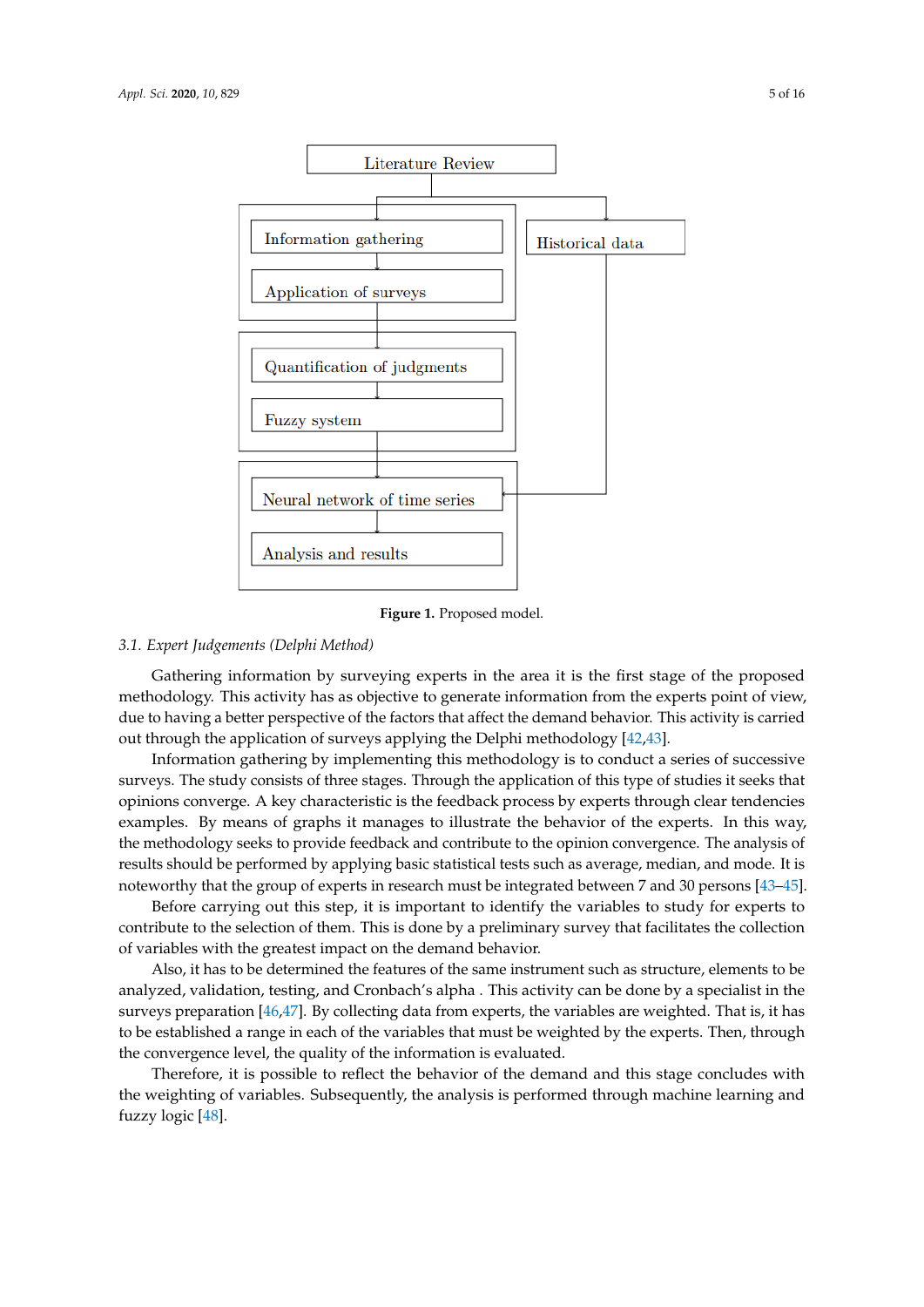<span id="page-4-0"></span>

**Figure 1.** Proposed model.

#### *3.1. Expert Judgements (Delphi Method)*

Gathering information by surveying experts in the area it is the first stage of the proposed methodology. This activity has as objective to generate information from the experts point of view, due to having a better perspective of the factors that affect the demand behavior. This activity is carried out through the application of surveys applying the Delphi methodology [\[42](#page-14-18)[,43\]](#page-14-19).

Information gathering by implementing this methodology is to conduct a series of successive surveys. The study consists of three stages. Through the application of this type of studies it seeks that opinions converge. A key characteristic is the feedback process by experts through clear tendencies examples. By means of graphs it manages to illustrate the behavior of the experts. In this way, the methodology seeks to provide feedback and contribute to the opinion convergence. The analysis of results should be performed by applying basic statistical tests such as average, median, and mode. It is noteworthy that the group of experts in research must be integrated between 7 and 30 persons [\[43–](#page-14-19)[45\]](#page-14-20).

Before carrying out this step, it is important to identify the variables to study for experts to contribute to the selection of them. This is done by a preliminary survey that facilitates the collection of variables with the greatest impact on the demand behavior.

Also, it has to be determined the features of the same instrument such as structure, elements to be analyzed, validation, testing, and Cronbach's alpha . This activity can be done by a specialist in the surveys preparation [\[46,](#page-14-21)[47\]](#page-14-22). By collecting data from experts, the variables are weighted. That is, it has to be established a range in each of the variables that must be weighted by the experts. Then, through the convergence level, the quality of the information is evaluated.

Therefore, it is possible to reflect the behavior of the demand and this stage concludes with the weighting of variables. Subsequently, the analysis is performed through machine learning and fuzzy logic [\[48\]](#page-14-23).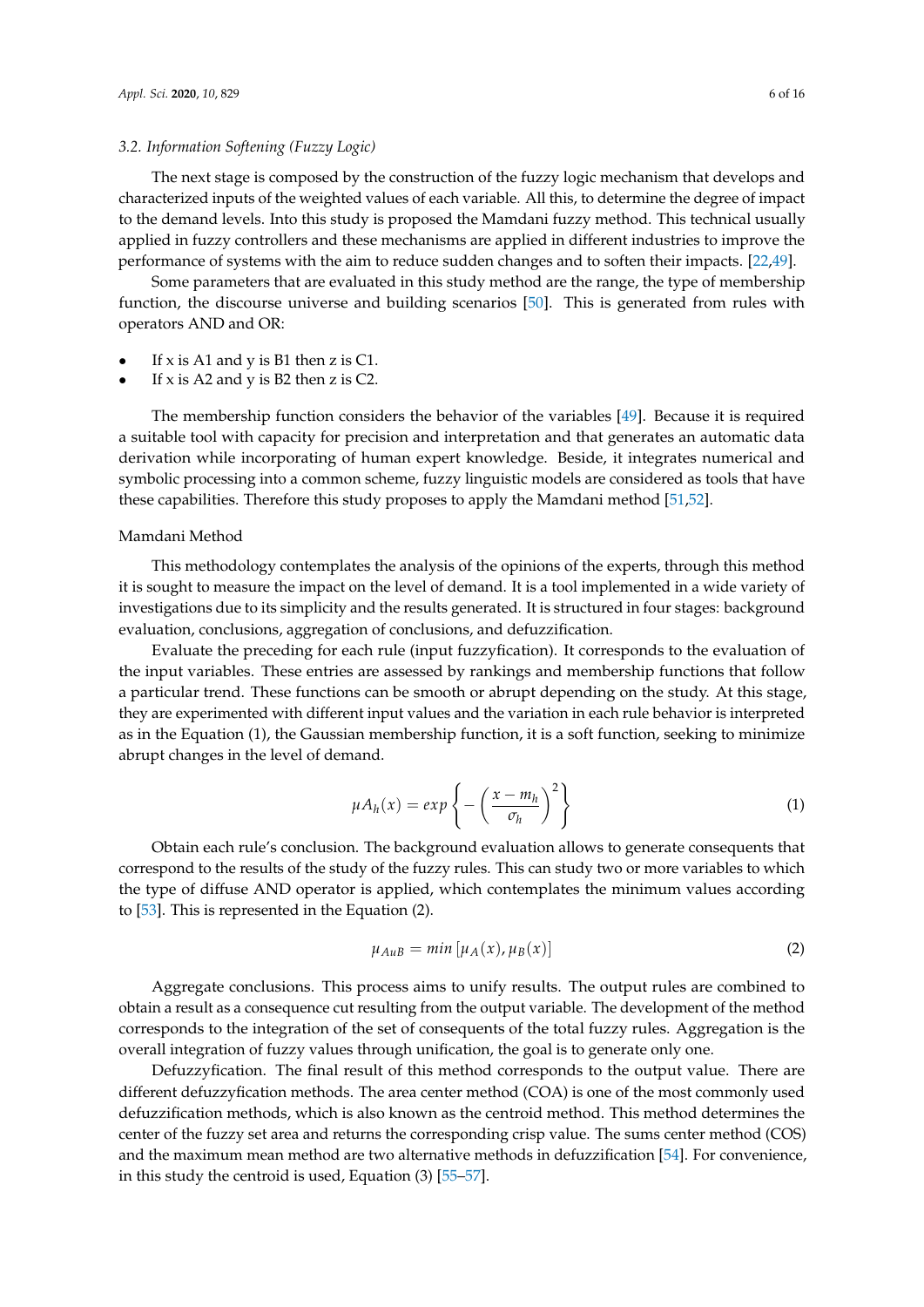## *3.2. Information Softening (Fuzzy Logic)*

The next stage is composed by the construction of the fuzzy logic mechanism that develops and characterized inputs of the weighted values of each variable. All this, to determine the degree of impact to the demand levels. Into this study is proposed the Mamdani fuzzy method. This technical usually applied in fuzzy controllers and these mechanisms are applied in different industries to improve the performance of systems with the aim to reduce sudden changes and to soften their impacts. [\[22,](#page-13-20)[49\]](#page-15-0).

Some parameters that are evaluated in this study method are the range, the type of membership function, the discourse universe and building scenarios [\[50\]](#page-15-1). This is generated from rules with operators AND and OR:

- If x is A1 and y is B1 then z is C1.
- If  $x$  is A2 and  $y$  is B2 then  $z$  is C2.

The membership function considers the behavior of the variables [\[49\]](#page-15-0). Because it is required a suitable tool with capacity for precision and interpretation and that generates an automatic data derivation while incorporating of human expert knowledge. Beside, it integrates numerical and symbolic processing into a common scheme, fuzzy linguistic models are considered as tools that have these capabilities. Therefore this study proposes to apply the Mamdani method [\[51](#page-15-2)[,52\]](#page-15-3).

## Mamdani Method

This methodology contemplates the analysis of the opinions of the experts, through this method it is sought to measure the impact on the level of demand. It is a tool implemented in a wide variety of investigations due to its simplicity and the results generated. It is structured in four stages: background evaluation, conclusions, aggregation of conclusions, and defuzzification.

Evaluate the preceding for each rule (input fuzzyfication). It corresponds to the evaluation of the input variables. These entries are assessed by rankings and membership functions that follow a particular trend. These functions can be smooth or abrupt depending on the study. At this stage, they are experimented with different input values and the variation in each rule behavior is interpreted as in the Equation (1), the Gaussian membership function, it is a soft function, seeking to minimize abrupt changes in the level of demand.

$$
\mu A_h(x) = exp\left\{-\left(\frac{x - m_h}{\sigma_h}\right)^2\right\} \tag{1}
$$

Obtain each rule's conclusion. The background evaluation allows to generate consequents that correspond to the results of the study of the fuzzy rules. This can study two or more variables to which the type of diffuse AND operator is applied, which contemplates the minimum values according to [\[53\]](#page-15-4). This is represented in the Equation (2).

$$
\mu_{AuB} = \min[\mu_A(x), \mu_B(x)] \tag{2}
$$

Aggregate conclusions. This process aims to unify results. The output rules are combined to obtain a result as a consequence cut resulting from the output variable. The development of the method corresponds to the integration of the set of consequents of the total fuzzy rules. Aggregation is the overall integration of fuzzy values through unification, the goal is to generate only one.

Defuzzyfication. The final result of this method corresponds to the output value. There are different defuzzyfication methods. The area center method (COA) is one of the most commonly used defuzzification methods, which is also known as the centroid method. This method determines the center of the fuzzy set area and returns the corresponding crisp value. The sums center method (COS) and the maximum mean method are two alternative methods in defuzzification [\[54\]](#page-15-5). For convenience, in this study the centroid is used, Equation (3) [\[55–](#page-15-6)[57\]](#page-15-7).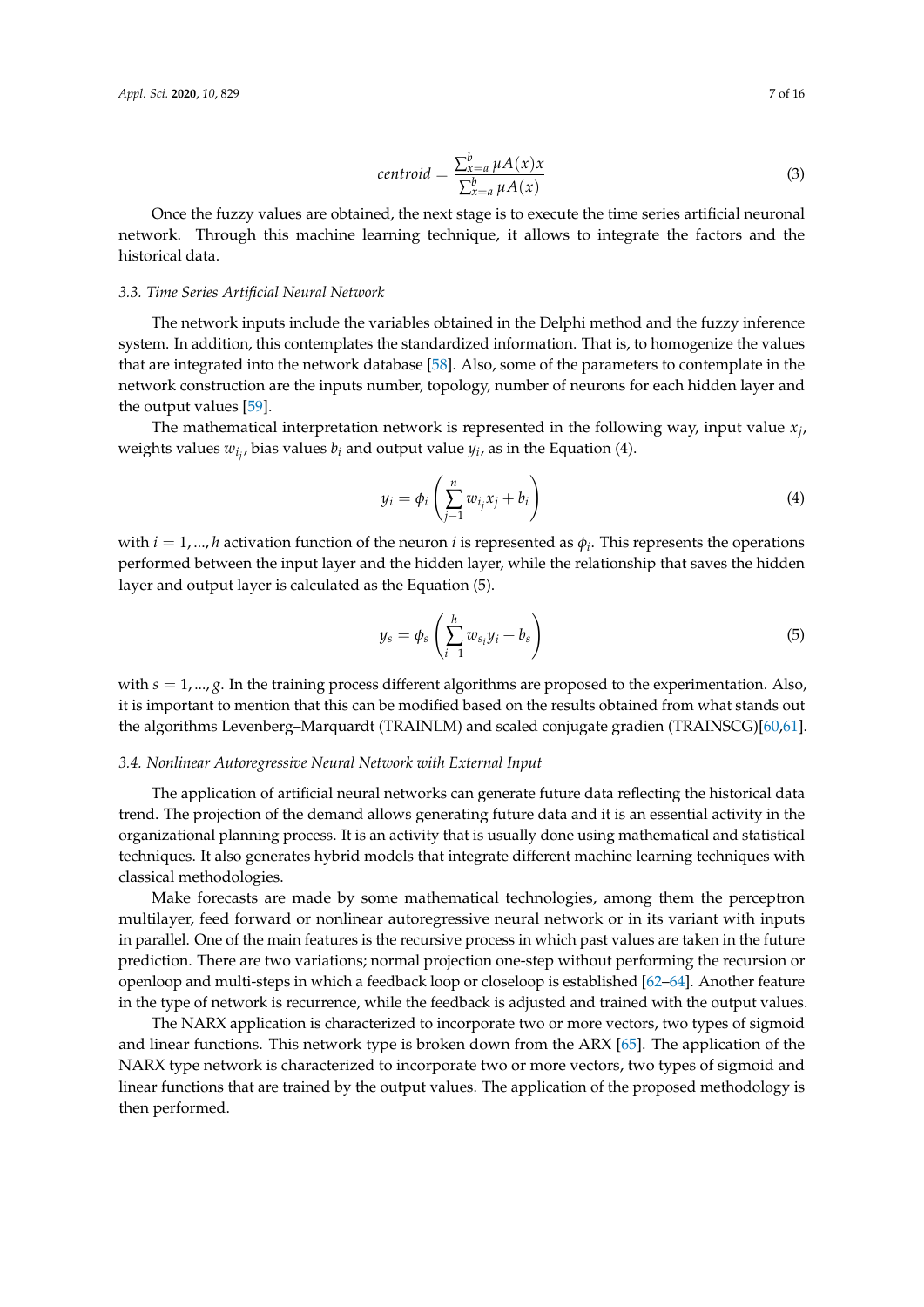$$
centroid = \frac{\sum_{x=a}^{b} \mu A(x)x}{\sum_{x=a}^{b} \mu A(x)}
$$
\n(3)

Once the fuzzy values are obtained, the next stage is to execute the time series artificial neuronal network. Through this machine learning technique, it allows to integrate the factors and the historical data.

#### *3.3. Time Series Artificial Neural Network*

The network inputs include the variables obtained in the Delphi method and the fuzzy inference system. In addition, this contemplates the standardized information. That is, to homogenize the values that are integrated into the network database [\[58\]](#page-15-8). Also, some of the parameters to contemplate in the network construction are the inputs number, topology, number of neurons for each hidden layer and the output values [\[59\]](#page-15-9).

The mathematical interpretation network is represented in the following way, input value *x<sup>j</sup>* , weights values  $w_{i_j}$ , bias values  $b_i$  and output value  $y_i$ , as in the Equation (4).

$$
y_i = \phi_i \left( \sum_{j=1}^n w_{i_j} x_j + b_i \right) \tag{4}
$$

with  $i = 1, ..., h$  activation function of the neuron  $i$  is represented as  $\phi_i$ . This represents the operations performed between the input layer and the hidden layer, while the relationship that saves the hidden layer and output layer is calculated as the Equation (5).

$$
y_s = \phi_s \left( \sum_{i=1}^h w_{s_i} y_i + b_s \right) \tag{5}
$$

with  $s = 1, ..., g$ . In the training process different algorithms are proposed to the experimentation. Also, it is important to mention that this can be modified based on the results obtained from what stands out the algorithms Levenberg–Marquardt (TRAINLM) and scaled conjugate gradien (TRAINSCG)[\[60,](#page-15-10)[61\]](#page-15-11).

#### *3.4. Nonlinear Autoregressive Neural Network with External Input*

The application of artificial neural networks can generate future data reflecting the historical data trend. The projection of the demand allows generating future data and it is an essential activity in the organizational planning process. It is an activity that is usually done using mathematical and statistical techniques. It also generates hybrid models that integrate different machine learning techniques with classical methodologies.

Make forecasts are made by some mathematical technologies, among them the perceptron multilayer, feed forward or nonlinear autoregressive neural network or in its variant with inputs in parallel. One of the main features is the recursive process in which past values are taken in the future prediction. There are two variations; normal projection one-step without performing the recursion or openloop and multi-steps in which a feedback loop or closeloop is established [\[62–](#page-15-12)[64\]](#page-15-13). Another feature in the type of network is recurrence, while the feedback is adjusted and trained with the output values.

The NARX application is characterized to incorporate two or more vectors, two types of sigmoid and linear functions. This network type is broken down from the ARX [\[65\]](#page-15-14). The application of the NARX type network is characterized to incorporate two or more vectors, two types of sigmoid and linear functions that are trained by the output values. The application of the proposed methodology is then performed.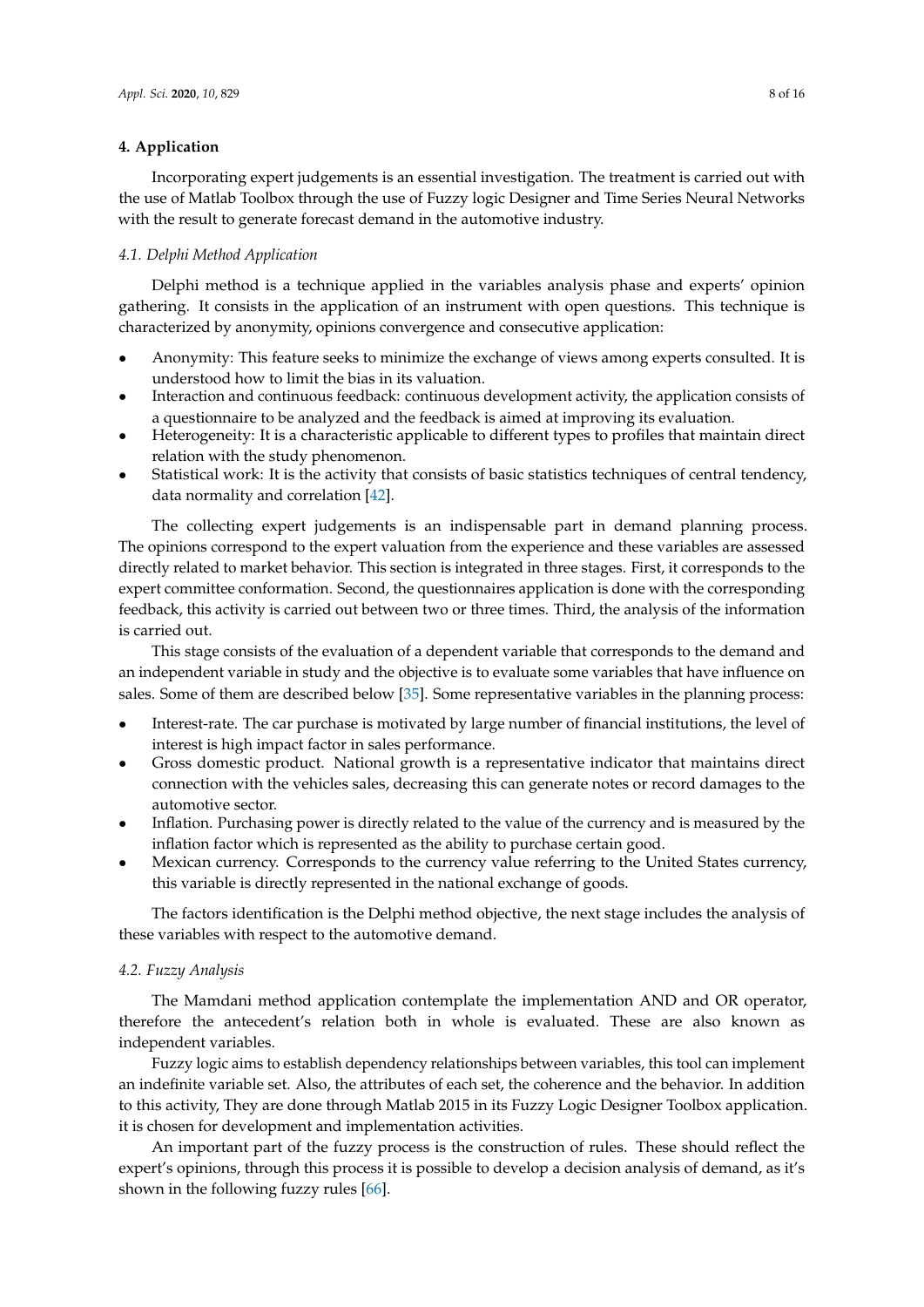## <span id="page-7-0"></span>**4. Application**

Incorporating expert judgements is an essential investigation. The treatment is carried out with the use of Matlab Toolbox through the use of Fuzzy logic Designer and Time Series Neural Networks with the result to generate forecast demand in the automotive industry.

#### *4.1. Delphi Method Application*

Delphi method is a technique applied in the variables analysis phase and experts' opinion gathering. It consists in the application of an instrument with open questions. This technique is characterized by anonymity, opinions convergence and consecutive application:

- Anonymity: This feature seeks to minimize the exchange of views among experts consulted. It is understood how to limit the bias in its valuation.
- Interaction and continuous feedback: continuous development activity, the application consists of a questionnaire to be analyzed and the feedback is aimed at improving its evaluation.
- Heterogeneity: It is a characteristic applicable to different types to profiles that maintain direct relation with the study phenomenon.
- Statistical work: It is the activity that consists of basic statistics techniques of central tendency, data normality and correlation [\[42\]](#page-14-18).

The collecting expert judgements is an indispensable part in demand planning process. The opinions correspond to the expert valuation from the experience and these variables are assessed directly related to market behavior. This section is integrated in three stages. First, it corresponds to the expert committee conformation. Second, the questionnaires application is done with the corresponding feedback, this activity is carried out between two or three times. Third, the analysis of the information is carried out.

This stage consists of the evaluation of a dependent variable that corresponds to the demand and an independent variable in study and the objective is to evaluate some variables that have influence on sales. Some of them are described below [\[35\]](#page-14-11). Some representative variables in the planning process:

- Interest-rate. The car purchase is motivated by large number of financial institutions, the level of interest is high impact factor in sales performance.
- Gross domestic product. National growth is a representative indicator that maintains direct connection with the vehicles sales, decreasing this can generate notes or record damages to the automotive sector.
- Inflation. Purchasing power is directly related to the value of the currency and is measured by the inflation factor which is represented as the ability to purchase certain good.
- Mexican currency. Corresponds to the currency value referring to the United States currency, this variable is directly represented in the national exchange of goods.

The factors identification is the Delphi method objective, the next stage includes the analysis of these variables with respect to the automotive demand.

## *4.2. Fuzzy Analysis*

The Mamdani method application contemplate the implementation AND and OR operator, therefore the antecedent's relation both in whole is evaluated. These are also known as independent variables.

Fuzzy logic aims to establish dependency relationships between variables, this tool can implement an indefinite variable set. Also, the attributes of each set, the coherence and the behavior. In addition to this activity, They are done through Matlab 2015 in its Fuzzy Logic Designer Toolbox application. it is chosen for development and implementation activities.

An important part of the fuzzy process is the construction of rules. These should reflect the expert's opinions, through this process it is possible to develop a decision analysis of demand, as it's shown in the following fuzzy rules [\[66\]](#page-15-15).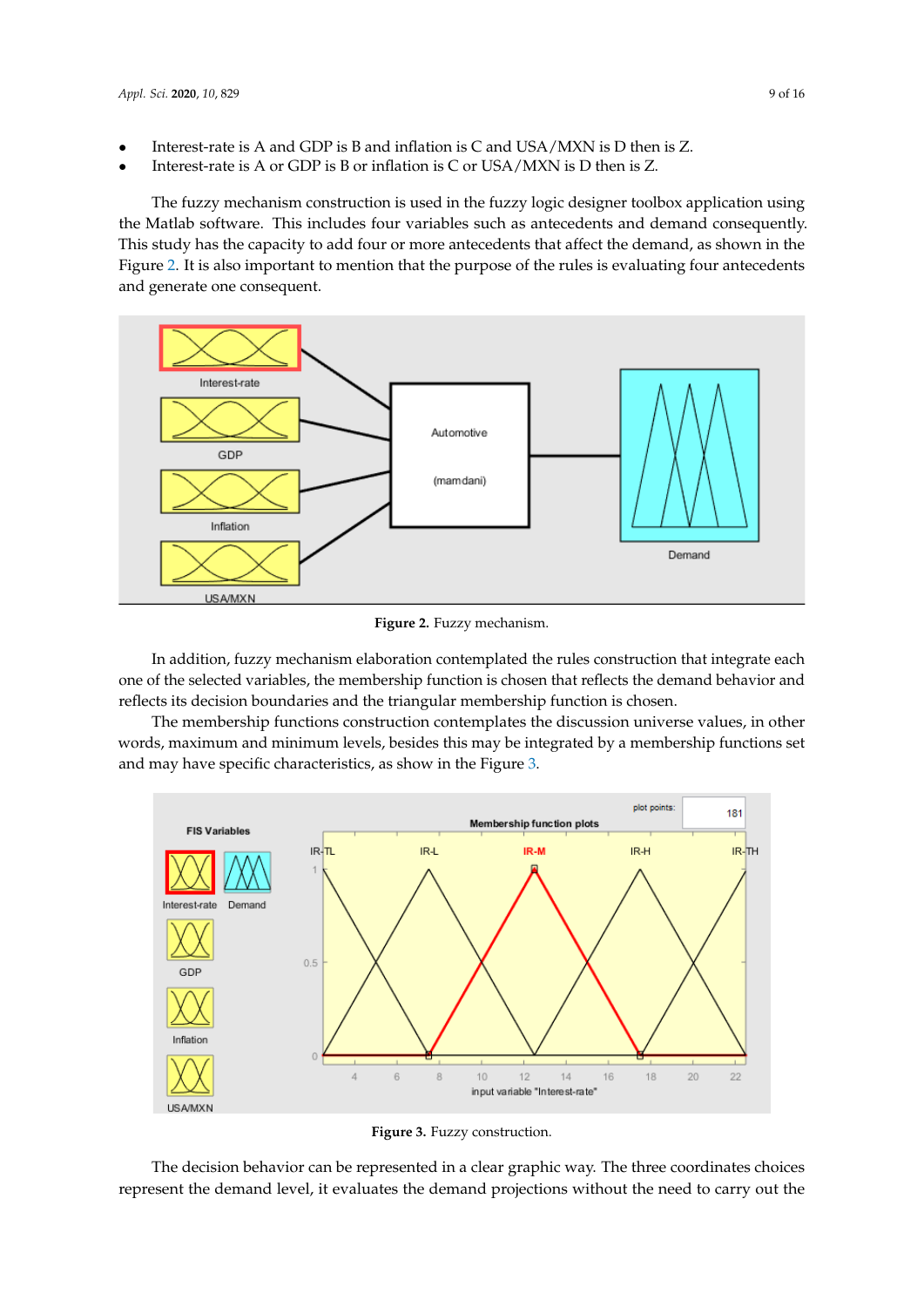- Interest-rate is A and GDP is B and inflation is C and USA/MXN is D then is Z.
- Interest-rate is A or GDP is B or inflation is C or USA/MXN is D then is Z.

The fuzzy mechanism construction is used in the fuzzy logic designer toolbox application using the Matlab software. This includes four variables such as antecedents and demand consequently. This study has the capacity to add four or more antecedents that affect the demand, as shown in the Figure [2.](#page-8-0) It is also important to mention that the purpose of the rules is evaluating four antecedents and generate one consequent.

<span id="page-8-0"></span>

**Figure 2.** Fuzzy mechanism.

In addition, fuzzy mechanism elaboration contemplated the rules construction that integrate each one of the selected variables, the membership function is chosen that reflects the demand behavior and reflects its decision boundaries and the triangular membership function is chosen.

The membership functions construction contemplates the discussion universe values, in other words, maximum and minimum levels, besides this may be integrated by a membership functions set and may have specific characteristics, as show in the Figure [3.](#page-8-1)

<span id="page-8-1"></span>

**Figure 3.** Fuzzy construction.

The decision behavior can be represented in a clear graphic way. The three coordinates choices represent the demand level, it evaluates the demand projections without the need to carry out the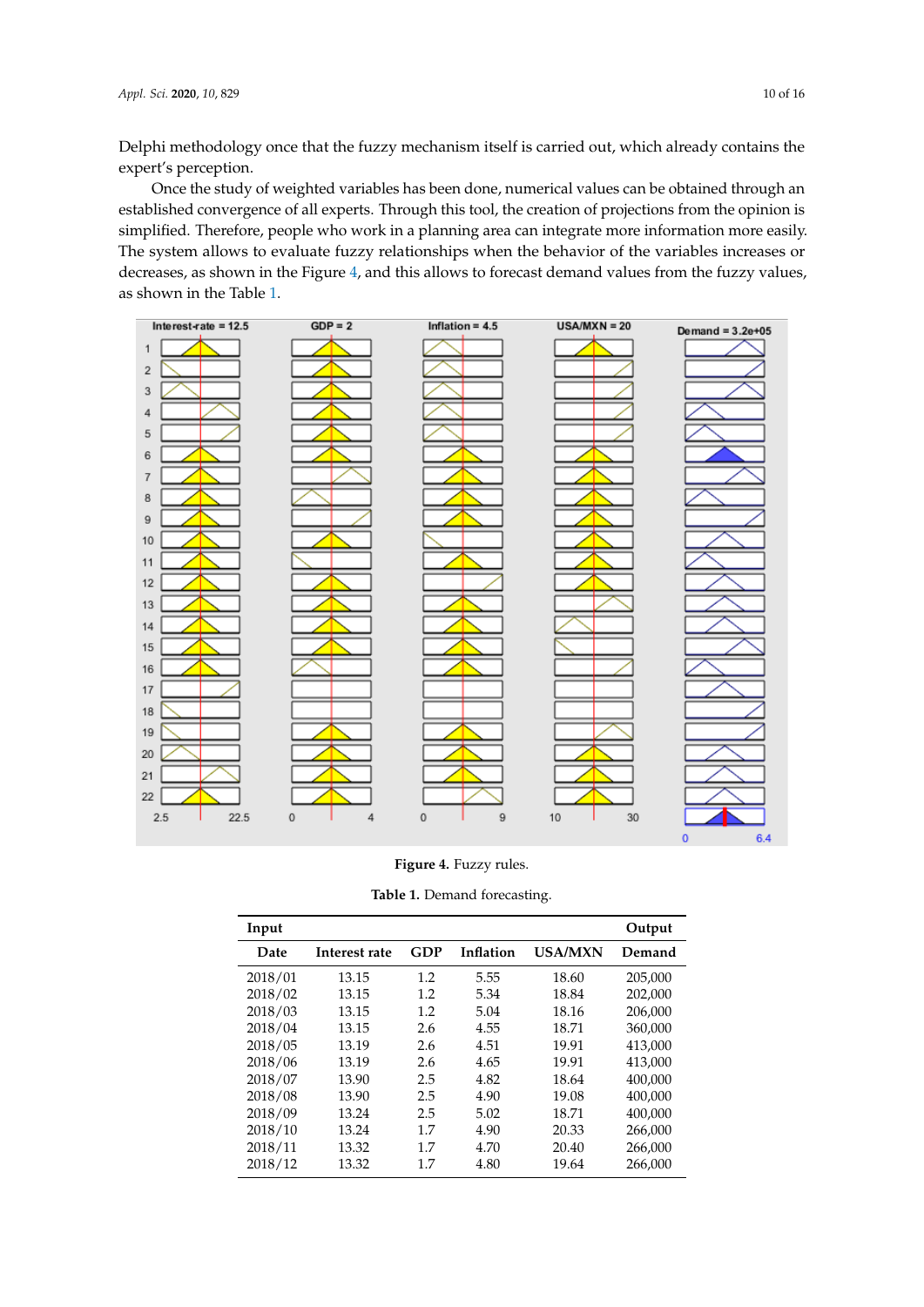Delphi methodology once that the fuzzy mechanism itself is carried out, which already contains the expert's perception.

Once the study of weighted variables has been done, numerical values can be obtained through an established convergence of all experts. Through this tool, the creation of projections from the opinion is simplified. Therefore, people who work in a planning area can integrate more information more easily. The system allows to evaluate fuzzy relationships when the behavior of the variables increases or decreases, as shown in the Figure [4,](#page-9-0) and this allows to forecast demand values from the fuzzy values, as shown in the Table [1.](#page-9-1)

<span id="page-9-0"></span>

**Figure 4.** Fuzzy rules.

| Table 1. Demand forecasting. |
|------------------------------|
|------------------------------|

<span id="page-9-1"></span>

| Input   |               |     |           |                | Output  |
|---------|---------------|-----|-----------|----------------|---------|
| Date    | Interest rate | GDP | Inflation | <b>USA/MXN</b> | Demand  |
| 2018/01 | 13.15         | 1.2 | 5.55      | 18.60          | 205,000 |
| 2018/02 | 13.15         | 1.2 | 5.34      | 18.84          | 202.000 |
| 2018/03 | 13.15         | 1.2 | 5.04      | 18.16          | 206,000 |
| 2018/04 | 13.15         | 2.6 | 4.55      | 18.71          | 360,000 |
| 2018/05 | 13.19         | 2.6 | 4.51      | 19.91          | 413,000 |
| 2018/06 | 13.19         | 2.6 | 4.65      | 19.91          | 413,000 |
| 2018/07 | 13.90         | 2.5 | 4.82      | 18.64          | 400,000 |
| 2018/08 | 13.90         | 2.5 | 4.90      | 19.08          | 400,000 |
| 2018/09 | 13.24         | 2.5 | 5.02      | 18.71          | 400.000 |
| 2018/10 | 13.24         | 1.7 | 4.90      | 20.33          | 266,000 |
| 2018/11 | 13.32         | 1.7 | 4.70      | 20.40          | 266,000 |
| 2018/12 | 13.32         | 1.7 | 4.80      | 19.64          | 266,000 |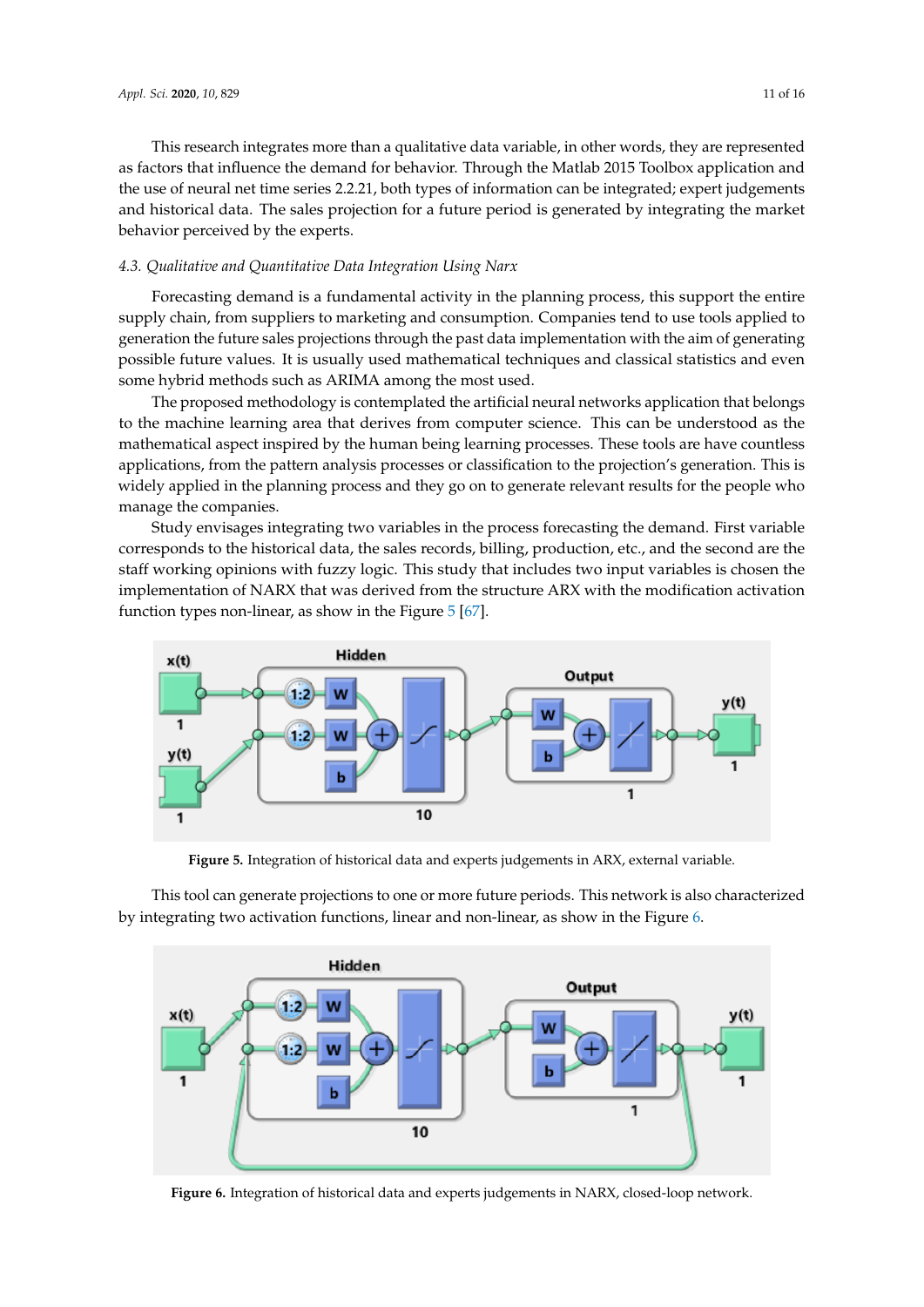This research integrates more than a qualitative data variable, in other words, they are represented as factors that influence the demand for behavior. Through the Matlab 2015 Toolbox application and the use of neural net time series 2.2.21, both types of information can be integrated; expert judgements and historical data. The sales projection for a future period is generated by integrating the market behavior perceived by the experts.

#### *4.3. Qualitative and Quantitative Data Integration Using Narx*

Forecasting demand is a fundamental activity in the planning process, this support the entire supply chain, from suppliers to marketing and consumption. Companies tend to use tools applied to generation the future sales projections through the past data implementation with the aim of generating possible future values. It is usually used mathematical techniques and classical statistics and even some hybrid methods such as ARIMA among the most used.

The proposed methodology is contemplated the artificial neural networks application that belongs to the machine learning area that derives from computer science. This can be understood as the mathematical aspect inspired by the human being learning processes. These tools are have countless applications, from the pattern analysis processes or classification to the projection's generation. This is widely applied in the planning process and they go on to generate relevant results for the people who manage the companies.

Study envisages integrating two variables in the process forecasting the demand. First variable corresponds to the historical data, the sales records, billing, production, etc., and the second are the staff working opinions with fuzzy logic. This study that includes two input variables is chosen the implementation of NARX that was derived from the structure ARX with the modification activation function types non-linear, as show in the Figure [5](#page-10-0) [\[67\]](#page-15-16).

<span id="page-10-0"></span>

**Figure 5.** Integration of historical data and experts judgements in ARX, external variable.

This tool can generate projections to one or more future periods. This network is also characterized by integrating two activation functions, linear and non-linear, as show in the Figure [6.](#page-10-1)

<span id="page-10-1"></span>

**Figure 6.** Integration of historical data and experts judgements in NARX, closed-loop network.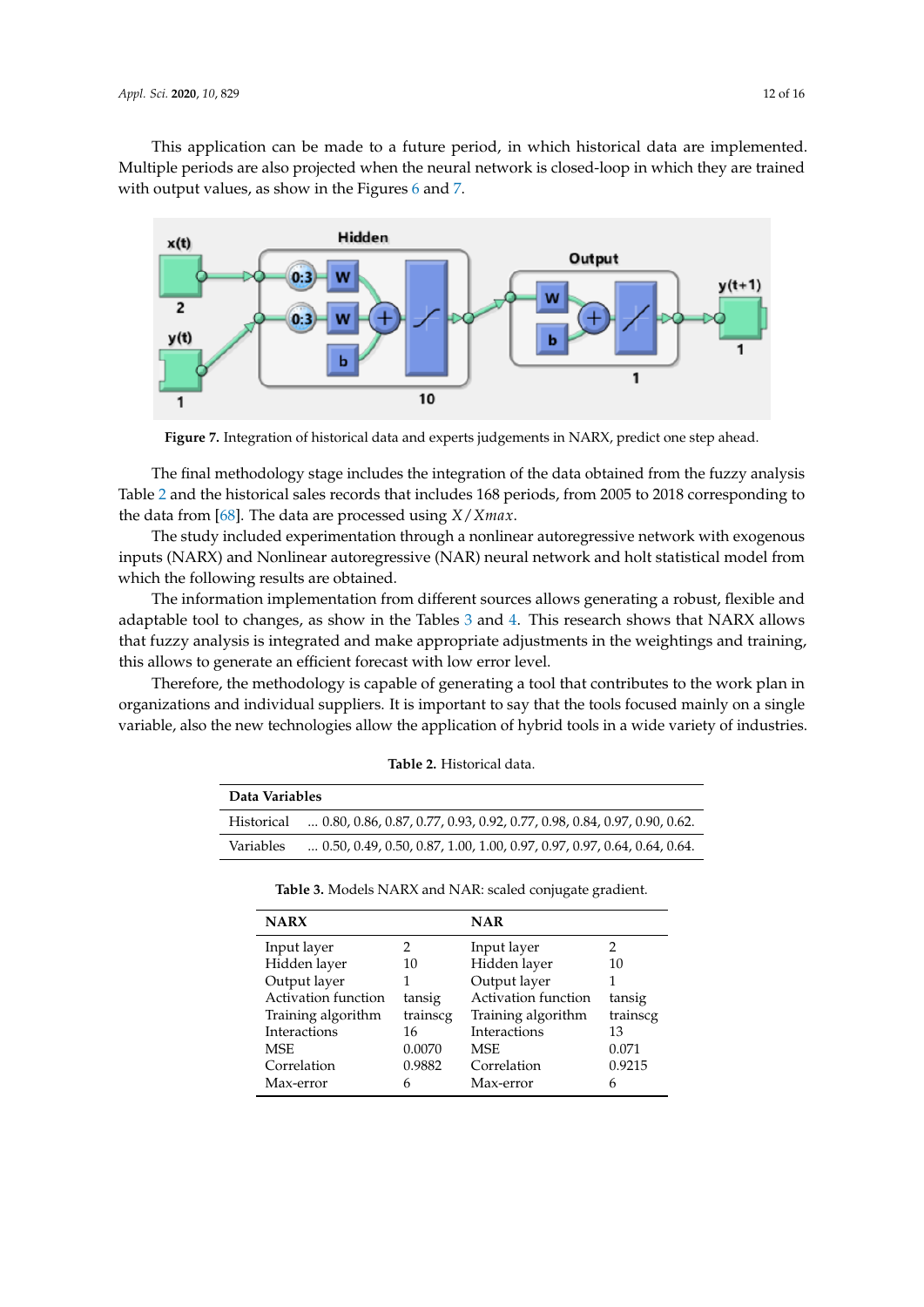This application can be made to a future period, in which historical data are implemented. Multiple periods are also projected when the neural network is closed-loop in which they are trained with output values, as show in the Figures [6](#page-10-1) and [7.](#page-11-0)

<span id="page-11-0"></span>

**Figure 7.** Integration of historical data and experts judgements in NARX, predict one step ahead.

The final methodology stage includes the integration of the data obtained from the fuzzy analysis Table [2](#page-11-1) and the historical sales records that includes 168 periods, from 2005 to 2018 corresponding to the data from [\[68\]](#page-15-17). The data are processed using *X*/*Xmax*.

The study included experimentation through a nonlinear autoregressive network with exogenous inputs (NARX) and Nonlinear autoregressive (NAR) neural network and holt statistical model from which the following results are obtained.

The information implementation from different sources allows generating a robust, flexible and adaptable tool to changes, as show in the Tables  $3$  and  $4$ . This research shows that NARX allows that fuzzy analysis is integrated and make appropriate adjustments in the weightings and training, this allows to generate an efficient forecast with low error level.

<span id="page-11-1"></span>Therefore, the methodology is capable of generating a tool that contributes to the work plan in organizations and individual suppliers. It is important to say that the tools focused mainly on a single variable, also the new technologies allow the application of hybrid tools in a wide variety of industries.

<span id="page-11-2"></span>

| Data Variables |                                                                                  |  |  |  |
|----------------|----------------------------------------------------------------------------------|--|--|--|
| Historical     | $\ldots$ 0.80, 0.86, 0.87, 0.77, 0.93, 0.92, 0.77, 0.98, 0.84, 0.97, 0.90, 0.62. |  |  |  |
| Variables      | $\ldots$ 0.50, 0.49, 0.50, 0.87, 1.00, 1.00, 0.97, 0.97, 0.97, 0.64, 0.64, 0.64. |  |  |  |

**Table 2.** Historical data.

|  |  |  |  |  |  | Table 3. Models NARX and NAR: scaled conjugate gradient. |  |
|--|--|--|--|--|--|----------------------------------------------------------|--|
|--|--|--|--|--|--|----------------------------------------------------------|--|

| <b>NARX</b>         |          | <b>NAR</b>          |          |
|---------------------|----------|---------------------|----------|
| Input layer         |          | Input layer         | 2        |
| Hidden layer        | 10       | Hidden layer        | 10       |
| Output layer        |          | Output layer        |          |
| Activation function | tansig   | Activation function | tansig   |
| Training algorithm  | trainscg | Training algorithm  | trainscg |
| Interactions        | 16       | Interactions        | 13       |
| <b>MSE</b>          | 0.0070   | <b>MSE</b>          | 0.071    |
| Correlation         | 0.9882   | Correlation         | 0.9215   |
| Max-error           | 6        | Max-error           | 6        |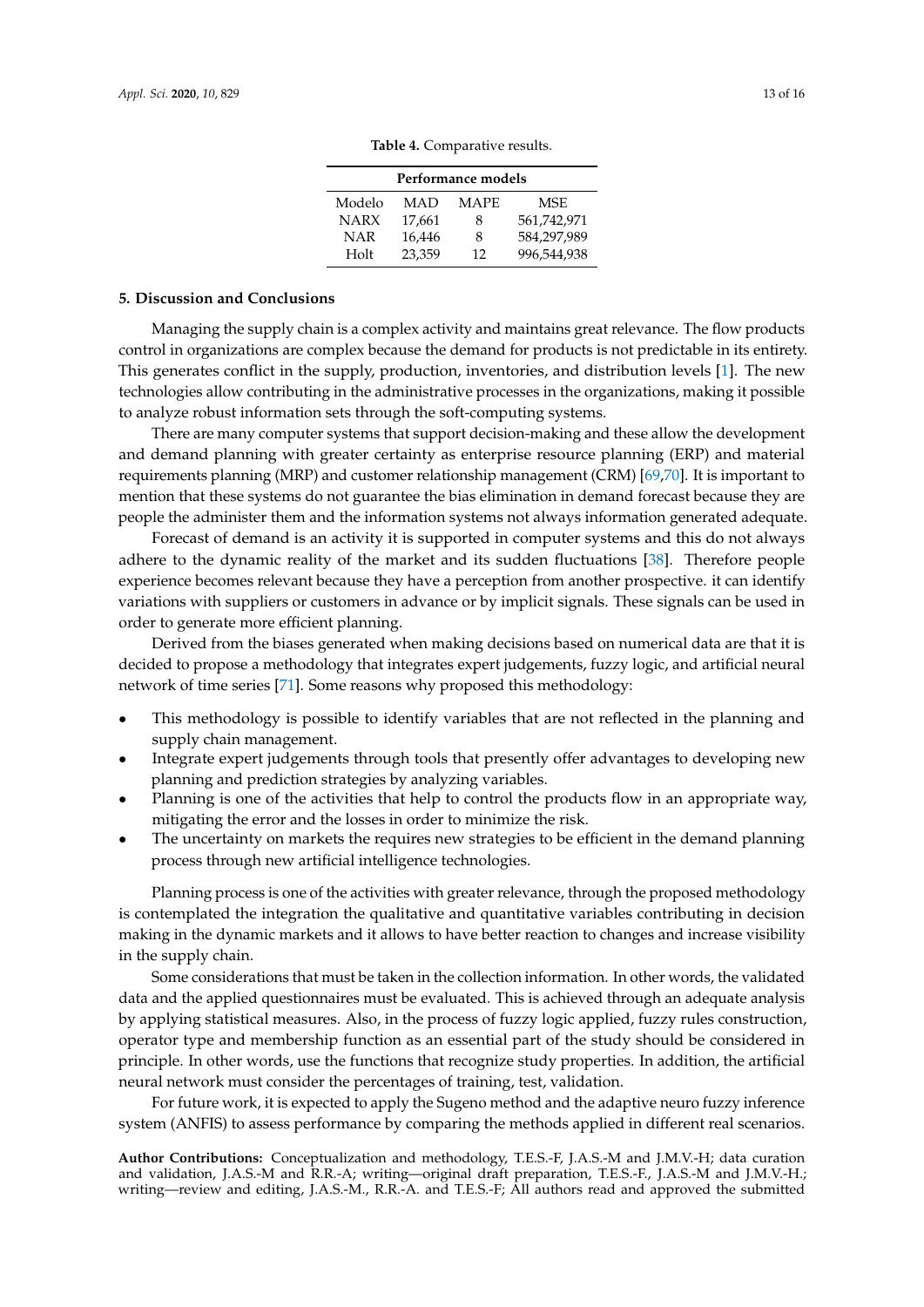| Performance models |        |             |             |  |  |  |
|--------------------|--------|-------------|-------------|--|--|--|
| Modelo             | MAD    | <b>MAPE</b> | MSE.        |  |  |  |
| <b>NARX</b>        | 17,661 | 8           | 561,742,971 |  |  |  |
| NAR                | 16,446 | 8           | 584,297,989 |  |  |  |
| Holt               | 23.359 | 12          | 996,544,938 |  |  |  |

**Table 4.** Comparative results.

## <span id="page-12-1"></span><span id="page-12-0"></span>**5. Discussion and Conclusions**

Managing the supply chain is a complex activity and maintains great relevance. The flow products control in organizations are complex because the demand for products is not predictable in its entirety. This generates conflict in the supply, production, inventories, and distribution levels [\[1\]](#page-13-0). The new technologies allow contributing in the administrative processes in the organizations, making it possible to analyze robust information sets through the soft-computing systems.

There are many computer systems that support decision-making and these allow the development and demand planning with greater certainty as enterprise resource planning (ERP) and material requirements planning (MRP) and customer relationship management (CRM) [\[69,](#page-15-18)[70\]](#page-15-19). It is important to mention that these systems do not guarantee the bias elimination in demand forecast because they are people the administer them and the information systems not always information generated adequate.

Forecast of demand is an activity it is supported in computer systems and this do not always adhere to the dynamic reality of the market and its sudden fluctuations [\[38\]](#page-14-14). Therefore people experience becomes relevant because they have a perception from another prospective. it can identify variations with suppliers or customers in advance or by implicit signals. These signals can be used in order to generate more efficient planning.

Derived from the biases generated when making decisions based on numerical data are that it is decided to propose a methodology that integrates expert judgements, fuzzy logic, and artificial neural network of time series [\[71\]](#page-15-20). Some reasons why proposed this methodology:

- This methodology is possible to identify variables that are not reflected in the planning and supply chain management.
- Integrate expert judgements through tools that presently offer advantages to developing new planning and prediction strategies by analyzing variables.
- Planning is one of the activities that help to control the products flow in an appropriate way, mitigating the error and the losses in order to minimize the risk.
- The uncertainty on markets the requires new strategies to be efficient in the demand planning process through new artificial intelligence technologies.

Planning process is one of the activities with greater relevance, through the proposed methodology is contemplated the integration the qualitative and quantitative variables contributing in decision making in the dynamic markets and it allows to have better reaction to changes and increase visibility in the supply chain.

Some considerations that must be taken in the collection information. In other words, the validated data and the applied questionnaires must be evaluated. This is achieved through an adequate analysis by applying statistical measures. Also, in the process of fuzzy logic applied, fuzzy rules construction, operator type and membership function as an essential part of the study should be considered in principle. In other words, use the functions that recognize study properties. In addition, the artificial neural network must consider the percentages of training, test, validation.

For future work, it is expected to apply the Sugeno method and the adaptive neuro fuzzy inference system (ANFIS) to assess performance by comparing the methods applied in different real scenarios.

**Author Contributions:** Conceptualization and methodology, T.E.S.-F, J.A.S.-M and J.M.V.-H; data curation and validation, J.A.S.-M and R.R.-A; writing—original draft preparation, T.E.S.-F., J.A.S.-M and J.M.V.-H.; writing—review and editing, J.A.S.-M., R.R.-A. and T.E.S.-F; All authors read and approved the submitted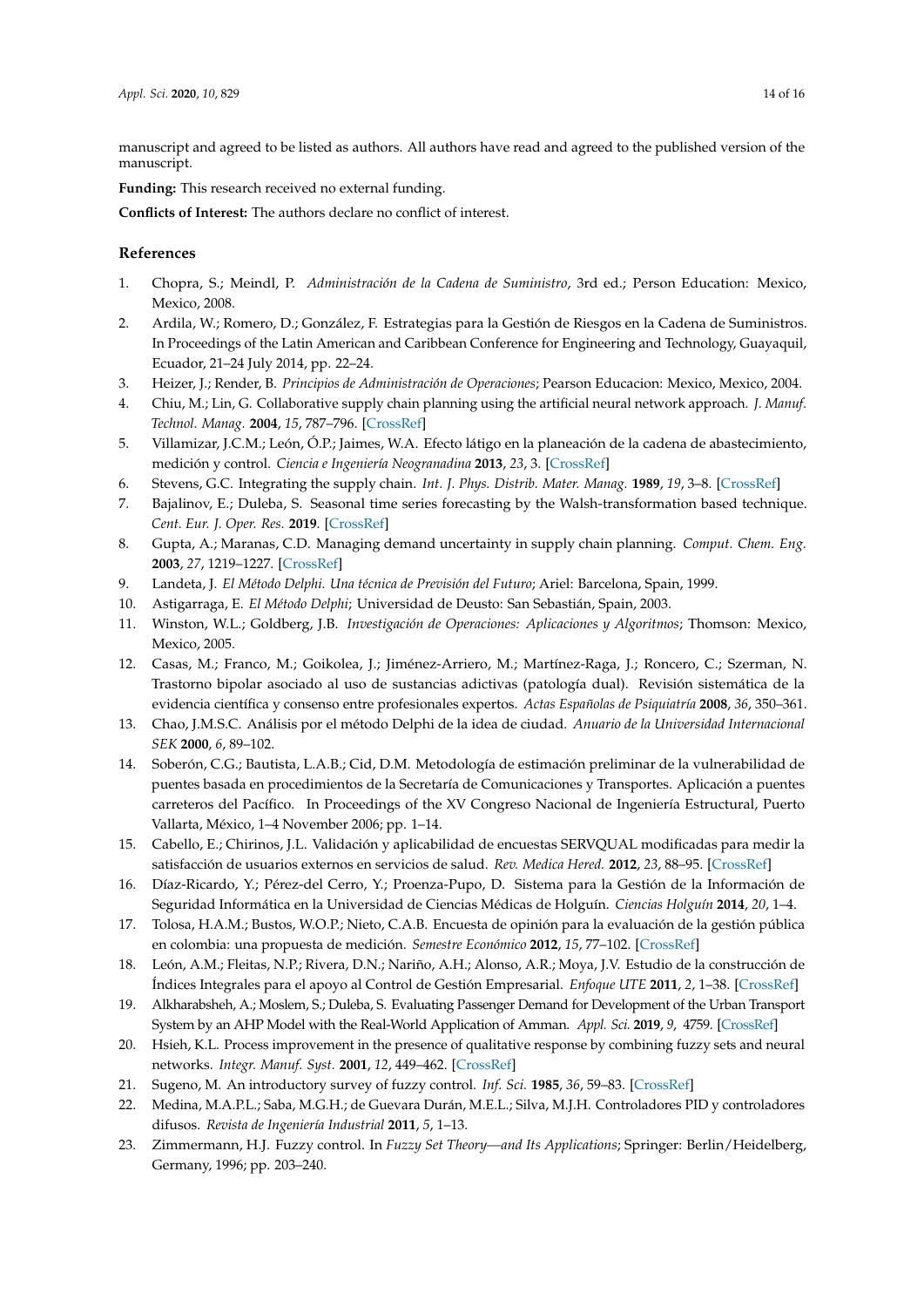manuscript and agreed to be listed as authors. All authors have read and agreed to the published version of the manuscript.

**Funding:** This research received no external funding.

**Conflicts of Interest:** The authors declare no conflict of interest.

# **References**

- <span id="page-13-0"></span>1. Chopra, S.; Meindl, P. *Administración de la Cadena de Suministro*, 3rd ed.; Person Education: Mexico, Mexico, 2008.
- <span id="page-13-1"></span>2. Ardila, W.; Romero, D.; González, F. Estrategias para la Gestión de Riesgos en la Cadena de Suministros. In Proceedings of the Latin American and Caribbean Conference for Engineering and Technology, Guayaquil, Ecuador, 21–24 July 2014, pp. 22–24.
- <span id="page-13-2"></span>3. Heizer, J.; Render, B. *Principios de Administración de Operaciones*; Pearson Educacion: Mexico, Mexico, 2004.
- <span id="page-13-3"></span>4. Chiu, M.; Lin, G. Collaborative supply chain planning using the artificial neural network approach. *J. Manuf. Technol. Manag.* **2004**, *15*, 787–796. [\[CrossRef\]](http://dx.doi.org/10.1108/17410380410565375)
- <span id="page-13-4"></span>5. Villamizar, J.C.M.; León, Ó.P.; Jaimes, W.A. Efecto látigo en la planeación de la cadena de abastecimiento, medición y control. *Ciencia e Ingeniería Neogranadina* **2013**, *23*, 3. [\[CrossRef\]](http://dx.doi.org/10.18359/rcin.222)
- <span id="page-13-5"></span>6. Stevens, G.C. Integrating the supply chain. *Int. J. Phys. Distrib. Mater. Manag.* **1989**, *19*, 3–8. [\[CrossRef\]](http://dx.doi.org/10.1108/EUM0000000000329)
- <span id="page-13-6"></span>7. Bajalinov, E.; Duleba, S. Seasonal time series forecasting by the Walsh-transformation based technique. *Cent. Eur. J. Oper. Res.* **2019**. [\[CrossRef\]](http://dx.doi.org/10.1007/s10100-019-00614-3)
- <span id="page-13-7"></span>8. Gupta, A.; Maranas, C.D. Managing demand uncertainty in supply chain planning. *Comput. Chem. Eng.* **2003**, *27*, 1219–1227. [\[CrossRef\]](http://dx.doi.org/10.1016/S0098-1354(03)00048-6)
- <span id="page-13-8"></span>9. Landeta, J. *El Método Delphi. Una técnica de Previsión del Futuro*; Ariel: Barcelona, Spain, 1999.
- <span id="page-13-9"></span>10. Astigarraga, E. *El Método Delphi*; Universidad de Deusto: San Sebastián, Spain, 2003.
- <span id="page-13-10"></span>11. Winston, W.L.; Goldberg, J.B. *Investigación de Operaciones: Aplicaciones y Algoritmos*; Thomson: Mexico, Mexico, 2005.
- <span id="page-13-11"></span>12. Casas, M.; Franco, M.; Goikolea, J.; Jiménez-Arriero, M.; Martínez-Raga, J.; Roncero, C.; Szerman, N. Trastorno bipolar asociado al uso de sustancias adictivas (patología dual). Revisión sistemática de la evidencia científica y consenso entre profesionales expertos. *Actas Españolas de Psiquiatría* **2008**, *36*, 350–361.
- 13. Chao, J.M.S.C. Análisis por el método Delphi de la idea de ciudad. *Anuario de la Universidad Internacional SEK* **2000**, *6*, 89–102.
- <span id="page-13-12"></span>14. Soberón, C.G.; Bautista, L.A.B.; Cid, D.M. Metodología de estimación preliminar de la vulnerabilidad de puentes basada en procedimientos de la Secretaría de Comunicaciones y Transportes. Aplicación a puentes carreteros del Pacífico. In Proceedings of the XV Congreso Nacional de Ingeniería Estructural, Puerto Vallarta, México, 1–4 November 2006; pp. 1–14.
- <span id="page-13-13"></span>15. Cabello, E.; Chirinos, J.L. Validación y aplicabilidad de encuestas SERVQUAL modificadas para medir la satisfacción de usuarios externos en servicios de salud. *Rev. Medica Hered.* **2012**, *23*, 88–95. [\[CrossRef\]](http://dx.doi.org/10.20453/rmh.v23i2.1037)
- <span id="page-13-14"></span>16. Díaz-Ricardo, Y.; Pérez-del Cerro, Y.; Proenza-Pupo, D. Sistema para la Gestión de la Información de Seguridad Informática en la Universidad de Ciencias Médicas de Holguín. *Ciencias Holguín* **2014**, *20*, 1–4.
- <span id="page-13-15"></span>17. Tolosa, H.A.M.; Bustos, W.O.P.; Nieto, C.A.B. Encuesta de opinión para la evaluación de la gestión pública en colombia: una propuesta de medición. *Semestre Económico* **2012**, *15*, 77–102. [\[CrossRef\]](http://dx.doi.org/10.22395/seec.v15n32a3)
- <span id="page-13-16"></span>18. León, A.M.; Fleitas, N.P.; Rivera, D.N.; Nariño, A.H.; Alonso, A.R.; Moya, J.V. Estudio de la construcción de Índices Integrales para el apoyo al Control de Gestión Empresarial. *Enfoque UTE* **2011**, *2*, 1–38. [\[CrossRef\]](http://dx.doi.org/10.29019/enfoqueute.v2n1.9)
- <span id="page-13-17"></span>19. Alkharabsheh, A.; Moslem, S.; Duleba, S. Evaluating Passenger Demand for Development of the Urban Transport System by an AHP Model with the Real-World Application of Amman. *Appl. Sci.* **2019**, *9*, 4759. [\[CrossRef\]](http://dx.doi.org/10.3390/app9224759)
- <span id="page-13-18"></span>20. Hsieh, K.L. Process improvement in the presence of qualitative response by combining fuzzy sets and neural networks. *Integr. Manuf. Syst.* **2001**, *12*, 449–462. [\[CrossRef\]](http://dx.doi.org/10.1108/09576060110407022)
- <span id="page-13-19"></span>21. Sugeno, M. An introductory survey of fuzzy control. *Inf. Sci.* **1985**, *36*, 59–83. [\[CrossRef\]](http://dx.doi.org/10.1016/0020-0255(85)90026-X)
- <span id="page-13-20"></span>22. Medina, M.A.P.L.; Saba, M.G.H.; de Guevara Durán, M.E.L.; Silva, M.J.H. Controladores PID y controladores difusos. *Revista de Ingeniería Industrial* **2011**, *5*, 1–13.
- <span id="page-13-21"></span>23. Zimmermann, H.J. Fuzzy control. In *Fuzzy Set Theory—and Its Applications*; Springer: Berlin/Heidelberg, Germany, 1996; pp. 203–240.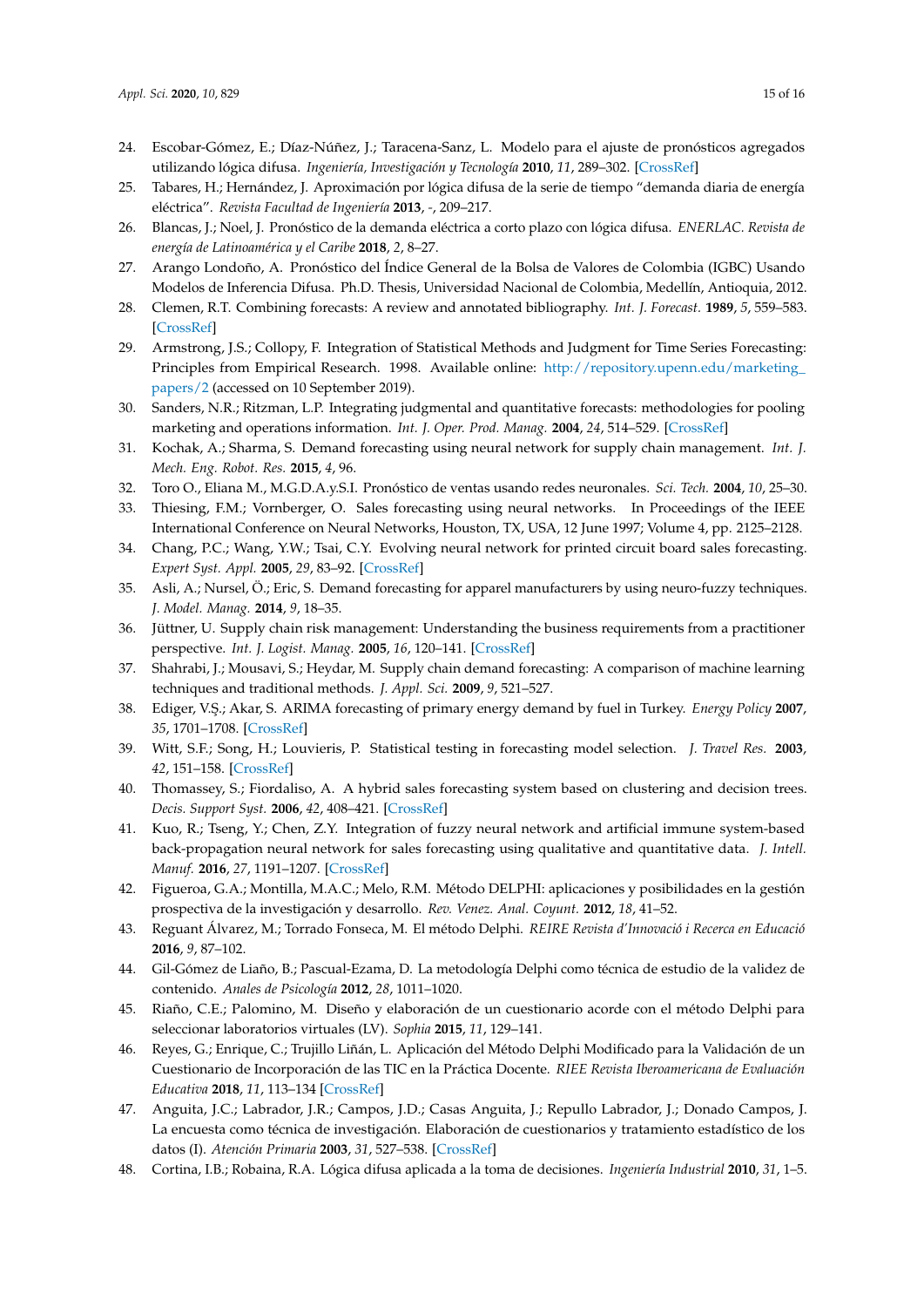- <span id="page-14-0"></span>24. Escobar-Gómez, E.; Díaz-Núñez, J.; Taracena-Sanz, L. Modelo para el ajuste de pronósticos agregados utilizando lógica difusa. *Ingeniería, Investigación y Tecnología* **2010**, *11*, 289–302. [\[CrossRef\]](http://dx.doi.org/10.22201/fi.25940732e.2010.11n3.025)
- <span id="page-14-1"></span>25. Tabares, H.; Hernández, J. Aproximación por lógica difusa de la serie de tiempo "demanda diaria de energía eléctrica". *Revista Facultad de Ingeniería* **2013**, *-*, 209–217.
- <span id="page-14-2"></span>26. Blancas, J.; Noel, J. Pronóstico de la demanda eléctrica a corto plazo con lógica difusa. *ENERLAC. Revista de energía de Latinoamérica y el Caribe* **2018**, *2*, 8–27.
- <span id="page-14-3"></span>27. Arango Londoño, A. Pronóstico del Índice General de la Bolsa de Valores de Colombia (IGBC) Usando Modelos de Inferencia Difusa. Ph.D. Thesis, Universidad Nacional de Colombia, Medellín, Antioquia, 2012.
- <span id="page-14-4"></span>28. Clemen, R.T. Combining forecasts: A review and annotated bibliography. *Int. J. Forecast.* **1989**, *5*, 559–583. [\[CrossRef\]](http://dx.doi.org/10.1016/0169-2070(89)90012-5)
- <span id="page-14-5"></span>29. Armstrong, J.S.; Collopy, F. Integration of Statistical Methods and Judgment for Time Series Forecasting: Principles from Empirical Research. 1998. Available online: [http://repository.upenn.edu/marketing\\_](http://repository.upenn.edu/marketing_papers/2) [papers/2](http://repository.upenn.edu/marketing_papers/2) (accessed on 10 September 2019).
- <span id="page-14-6"></span>30. Sanders, N.R.; Ritzman, L.P. Integrating judgmental and quantitative forecasts: methodologies for pooling marketing and operations information. *Int. J. Oper. Prod. Manag.* **2004**, *24*, 514–529. [\[CrossRef\]](http://dx.doi.org/10.1108/01443570410532560)
- <span id="page-14-7"></span>31. Kochak, A.; Sharma, S. Demand forecasting using neural network for supply chain management. *Int. J. Mech. Eng. Robot. Res.* **2015**, *4*, 96.
- <span id="page-14-8"></span>32. Toro O., Eliana M., M.G.D.A.y.S.I. Pronóstico de ventas usando redes neuronales. *Sci. Tech.* **2004**, *10*, 25–30.
- <span id="page-14-9"></span>33. Thiesing, F.M.; Vornberger, O. Sales forecasting using neural networks. In Proceedings of the IEEE International Conference on Neural Networks, Houston, TX, USA, 12 June 1997; Volume 4, pp. 2125–2128.
- <span id="page-14-10"></span>34. Chang, P.C.; Wang, Y.W.; Tsai, C.Y. Evolving neural network for printed circuit board sales forecasting. *Expert Syst. Appl.* **2005**, *29*, 83–92. [\[CrossRef\]](http://dx.doi.org/10.1016/j.eswa.2005.01.012)
- <span id="page-14-11"></span>35. Asli, A.; Nursel, Ö.; Eric, S. Demand forecasting for apparel manufacturers by using neuro-fuzzy techniques. *J. Model. Manag.* **2014**, *9*, 18–35.
- <span id="page-14-12"></span>36. Jüttner, U. Supply chain risk management: Understanding the business requirements from a practitioner perspective. *Int. J. Logist. Manag.* **2005**, *16*, 120–141. [\[CrossRef\]](http://dx.doi.org/10.1108/09574090510617385)
- <span id="page-14-13"></span>37. Shahrabi, J.; Mousavi, S.; Heydar, M. Supply chain demand forecasting: A comparison of machine learning techniques and traditional methods. *J. Appl. Sci.* **2009**, *9*, 521–527.
- <span id="page-14-14"></span>38. Ediger, V. ¸S.; Akar, S. ARIMA forecasting of primary energy demand by fuel in Turkey. *Energy Policy* **2007**, *35*, 1701–1708. [\[CrossRef\]](http://dx.doi.org/10.1016/j.enpol.2006.05.009)
- <span id="page-14-15"></span>39. Witt, S.F.; Song, H.; Louvieris, P. Statistical testing in forecasting model selection. *J. Travel Res.* **2003**, *42*, 151–158. [\[CrossRef\]](http://dx.doi.org/10.1177/0047287503253941)
- <span id="page-14-16"></span>40. Thomassey, S.; Fiordaliso, A. A hybrid sales forecasting system based on clustering and decision trees. *Decis. Support Syst.* **2006**, *42*, 408–421. [\[CrossRef\]](http://dx.doi.org/10.1016/j.dss.2005.01.008)
- <span id="page-14-17"></span>41. Kuo, R.; Tseng, Y.; Chen, Z.Y. Integration of fuzzy neural network and artificial immune system-based back-propagation neural network for sales forecasting using qualitative and quantitative data. *J. Intell. Manuf.* **2016**, *27*, 1191–1207. [\[CrossRef\]](http://dx.doi.org/10.1007/s10845-014-0944-1)
- <span id="page-14-18"></span>42. Figueroa, G.A.; Montilla, M.A.C.; Melo, R.M. Método DELPHI: aplicaciones y posibilidades en la gestión prospectiva de la investigación y desarrollo. *Rev. Venez. Anal. Coyunt.* **2012**, *18*, 41–52.
- <span id="page-14-19"></span>43. Reguant Álvarez, M.; Torrado Fonseca, M. El método Delphi. *REIRE Revista d'Innovació i Recerca en Educació* **2016**, *9*, 87–102.
- 44. Gil-Gómez de Liaño, B.; Pascual-Ezama, D. La metodología Delphi como técnica de estudio de la validez de contenido. *Anales de Psicología* **2012**, *28*, 1011–1020.
- <span id="page-14-20"></span>45. Riaño, C.E.; Palomino, M. Diseño y elaboración de un cuestionario acorde con el método Delphi para seleccionar laboratorios virtuales (LV). *Sophia* **2015**, *11*, 129–141.
- <span id="page-14-21"></span>46. Reyes, G.; Enrique, C.; Trujillo Liñán, L. Aplicación del Método Delphi Modificado para la Validación de un Cuestionario de Incorporación de las TIC en la Práctica Docente. *RIEE Revista Iberoamericana de Evaluación Educativa* **2018**, *11*, 113–134 [\[CrossRef\]](http://dx.doi.org/10.15366/riee2018.11.1.007)
- <span id="page-14-22"></span>47. Anguita, J.C.; Labrador, J.R.; Campos, J.D.; Casas Anguita, J.; Repullo Labrador, J.; Donado Campos, J. La encuesta como técnica de investigación. Elaboración de cuestionarios y tratamiento estadístico de los datos (I). *Atención Primaria* **2003**, *31*, 527–538. [\[CrossRef\]](http://dx.doi.org/10.1016/S0212-6567(03)70728-8)
- <span id="page-14-23"></span>48. Cortina, I.B.; Robaina, R.A. Lógica difusa aplicada a la toma de decisiones. *Ingeniería Industrial* **2010**, *31*, 1–5.